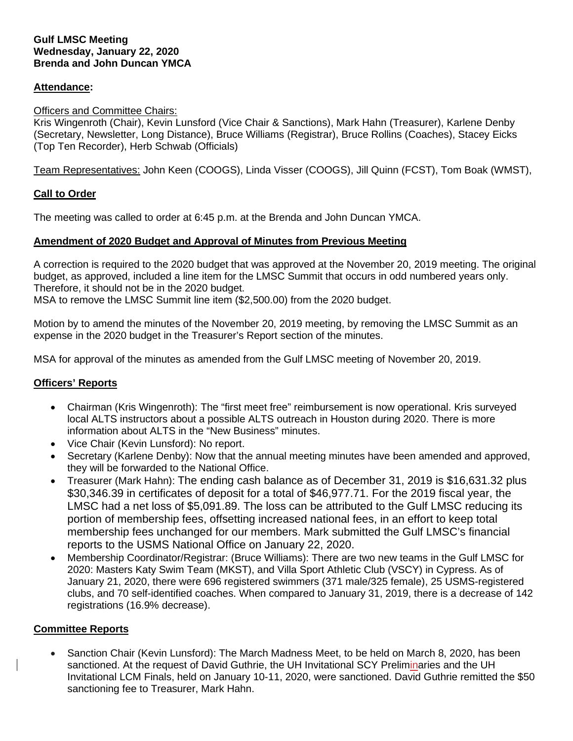### **Attendance:**

#### Officers and Committee Chairs:

Kris Wingenroth (Chair), Kevin Lunsford (Vice Chair & Sanctions), Mark Hahn (Treasurer), Karlene Denby (Secretary, Newsletter, Long Distance), Bruce Williams (Registrar), Bruce Rollins (Coaches), Stacey Eicks (Top Ten Recorder), Herb Schwab (Officials)

Team Representatives: John Keen (COOGS), Linda Visser (COOGS), Jill Quinn (FCST), Tom Boak (WMST),

#### **Call to Order**

The meeting was called to order at 6:45 p.m. at the Brenda and John Duncan YMCA.

#### **Amendment of 2020 Budget and Approval of Minutes from Previous Meeting**

A correction is required to the 2020 budget that was approved at the November 20, 2019 meeting. The original budget, as approved, included a line item for the LMSC Summit that occurs in odd numbered years only. Therefore, it should not be in the 2020 budget.

MSA to remove the LMSC Summit line item (\$2,500.00) from the 2020 budget.

Motion by to amend the minutes of the November 20, 2019 meeting, by removing the LMSC Summit as an expense in the 2020 budget in the Treasurer's Report section of the minutes.

MSA for approval of the minutes as amended from the Gulf LMSC meeting of November 20, 2019.

### **Officers' Reports**

- Chairman (Kris Wingenroth): The "first meet free" reimbursement is now operational. Kris surveyed local ALTS instructors about a possible ALTS outreach in Houston during 2020. There is more information about ALTS in the "New Business" minutes.
- Vice Chair (Kevin Lunsford): No report.
- Secretary (Karlene Denby): Now that the annual meeting minutes have been amended and approved, they will be forwarded to the National Office.
- Treasurer (Mark Hahn): The ending cash balance as of December 31, 2019 is \$16,631.32 plus \$30,346.39 in certificates of deposit for a total of \$46,977.71. For the 2019 fiscal year, the LMSC had a net loss of \$5,091.89. The loss can be attributed to the Gulf LMSC reducing its portion of membership fees, offsetting increased national fees, in an effort to keep total membership fees unchanged for our members. Mark submitted the Gulf LMSC's financial reports to the USMS National Office on January 22, 2020.
- Membership Coordinator/Registrar: (Bruce Williams): There are two new teams in the Gulf LMSC for 2020: Masters Katy Swim Team (MKST), and Villa Sport Athletic Club (VSCY) in Cypress. As of January 21, 2020, there were 696 registered swimmers (371 male/325 female), 25 USMS-registered clubs, and 70 self-identified coaches. When compared to January 31, 2019, there is a decrease of 142 registrations (16.9% decrease).

### **Committee Reports**

• Sanction Chair (Kevin Lunsford): The March Madness Meet, to be held on March 8, 2020, has been sanctioned. At the request of David Guthrie, the UH Invitational SCY Preliminaries and the UH Invitational LCM Finals, held on January 10-11, 2020, were sanctioned. David Guthrie remitted the \$50 sanctioning fee to Treasurer, Mark Hahn.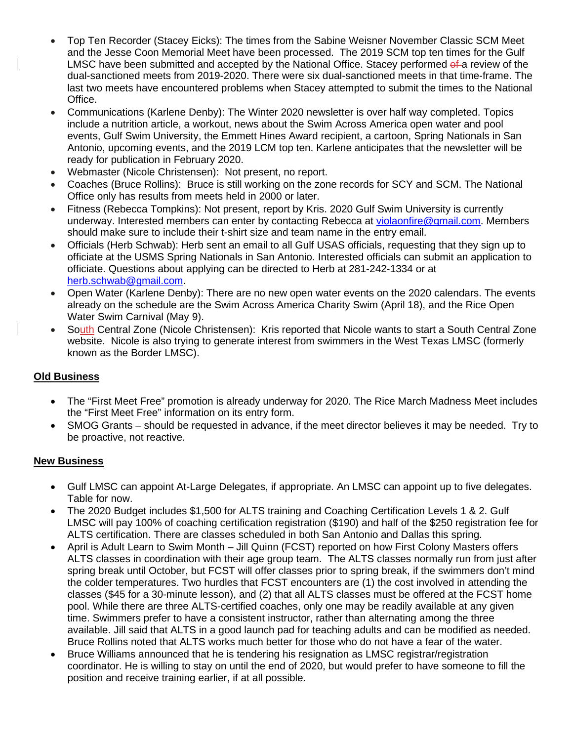- Top Ten Recorder (Stacey Eicks): The times from the Sabine Weisner November Classic SCM Meet and the Jesse Coon Memorial Meet have been processed. The 2019 SCM top ten times for the Gulf LMSC have been submitted and accepted by the National Office. Stacey performed  $of a$  review of the dual-sanctioned meets from 2019-2020. There were six dual-sanctioned meets in that time-frame. The last two meets have encountered problems when Stacey attempted to submit the times to the National Office.
- Communications (Karlene Denby): The Winter 2020 newsletter is over half way completed. Topics include a nutrition article, a workout, news about the Swim Across America open water and pool events, Gulf Swim University, the Emmett Hines Award recipient, a cartoon, Spring Nationals in San Antonio, upcoming events, and the 2019 LCM top ten. Karlene anticipates that the newsletter will be ready for publication in February 2020.
- Webmaster (Nicole Christensen): Not present, no report.
- Coaches (Bruce Rollins): Bruce is still working on the zone records for SCY and SCM. The National Office only has results from meets held in 2000 or later.
- Fitness (Rebecca Tompkins): Not present, report by Kris. 2020 Gulf Swim University is currently underway. Interested members can enter by contacting Rebecca at [violaonfire@gmail.com.](mailto:violaonfire@gmail.com) Members should make sure to include their t-shirt size and team name in the entry email.
- Officials (Herb Schwab): Herb sent an email to all Gulf USAS officials, requesting that they sign up to officiate at the USMS Spring Nationals in San Antonio. Interested officials can submit an application to officiate. Questions about applying can be directed to Herb at 281-242-1334 or at [herb.schwab@gmail.com.](mailto:herb.schwab@gmail.com)
- Open Water (Karlene Denby): There are no new open water events on the 2020 calendars. The events already on the schedule are the Swim Across America Charity Swim (April 18), and the Rice Open Water Swim Carnival (May 9).
- South Central Zone (Nicole Christensen): Kris reported that Nicole wants to start a South Central Zone website. Nicole is also trying to generate interest from swimmers in the West Texas LMSC (formerly known as the Border LMSC).

# **Old Business**

- The "First Meet Free" promotion is already underway for 2020. The Rice March Madness Meet includes the "First Meet Free" information on its entry form.
- SMOG Grants should be requested in advance, if the meet director believes it may be needed. Try to be proactive, not reactive.

## **New Business**

- Gulf LMSC can appoint At-Large Delegates, if appropriate. An LMSC can appoint up to five delegates. Table for now.
- The 2020 Budget includes \$1,500 for ALTS training and Coaching Certification Levels 1 & 2. Gulf LMSC will pay 100% of coaching certification registration (\$190) and half of the \$250 registration fee for ALTS certification. There are classes scheduled in both San Antonio and Dallas this spring.
- April is Adult Learn to Swim Month Jill Quinn (FCST) reported on how First Colony Masters offers ALTS classes in coordination with their age group team. The ALTS classes normally run from just after spring break until October, but FCST will offer classes prior to spring break, if the swimmers don't mind the colder temperatures. Two hurdles that FCST encounters are (1) the cost involved in attending the classes (\$45 for a 30-minute lesson), and (2) that all ALTS classes must be offered at the FCST home pool. While there are three ALTS-certified coaches, only one may be readily available at any given time. Swimmers prefer to have a consistent instructor, rather than alternating among the three available. Jill said that ALTS in a good launch pad for teaching adults and can be modified as needed. Bruce Rollins noted that ALTS works much better for those who do not have a fear of the water.
- Bruce Williams announced that he is tendering his resignation as LMSC registrar/registration coordinator. He is willing to stay on until the end of 2020, but would prefer to have someone to fill the position and receive training earlier, if at all possible.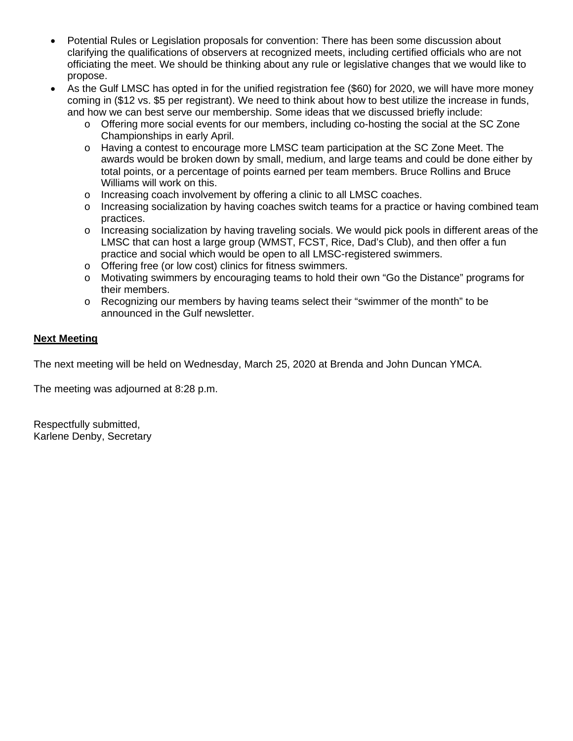- Potential Rules or Legislation proposals for convention: There has been some discussion about clarifying the qualifications of observers at recognized meets, including certified officials who are not officiating the meet. We should be thinking about any rule or legislative changes that we would like to propose.
- As the Gulf LMSC has opted in for the unified registration fee (\$60) for 2020, we will have more money coming in (\$12 vs. \$5 per registrant). We need to think about how to best utilize the increase in funds, and how we can best serve our membership. Some ideas that we discussed briefly include:
	- o Offering more social events for our members, including co-hosting the social at the SC Zone Championships in early April.
	- o Having a contest to encourage more LMSC team participation at the SC Zone Meet. The awards would be broken down by small, medium, and large teams and could be done either by total points, or a percentage of points earned per team members. Bruce Rollins and Bruce Williams will work on this.
	- o Increasing coach involvement by offering a clinic to all LMSC coaches.
	- o Increasing socialization by having coaches switch teams for a practice or having combined team practices.
	- $\circ$  Increasing socialization by having traveling socials. We would pick pools in different areas of the LMSC that can host a large group (WMST, FCST, Rice, Dad's Club), and then offer a fun practice and social which would be open to all LMSC-registered swimmers.
	- o Offering free (or low cost) clinics for fitness swimmers.
	- o Motivating swimmers by encouraging teams to hold their own "Go the Distance" programs for their members.
	- $\circ$  Recognizing our members by having teams select their "swimmer of the month" to be announced in the Gulf newsletter.

### **Next Meeting**

The next meeting will be held on Wednesday, March 25, 2020 at Brenda and John Duncan YMCA.

The meeting was adjourned at 8:28 p.m.

Respectfully submitted, Karlene Denby, Secretary